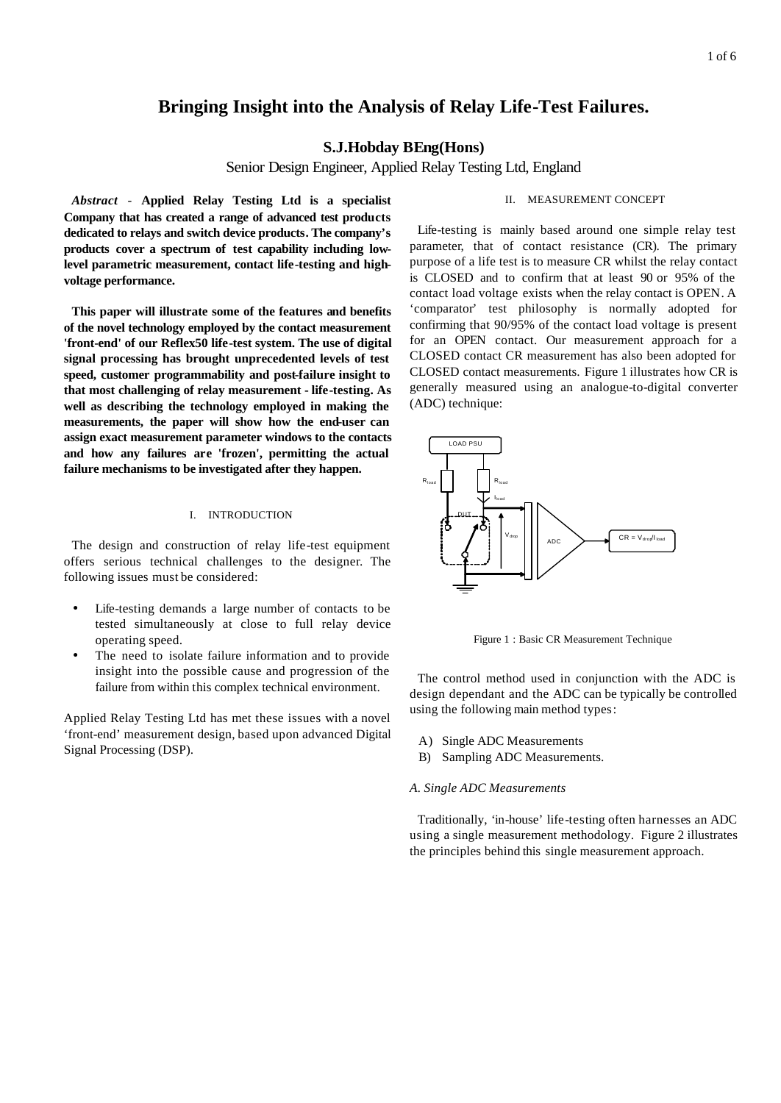# **Bringing Insight into the Analysis of Relay Life-Test Failures.**

## **S.J.Hobday BEng(Hons)**

Senior Design Engineer, Applied Relay Testing Ltd, England

*Abstract* - **Applied Relay Testing Ltd is a specialist Company that has created a range of advanced test products dedicated to relays and switch device products. The company's products cover a spectrum of test capability including lowlevel parametric measurement, contact life-testing and highvoltage performance.**

**This paper will illustrate some of the features and benefits of the novel technology employed by the contact measurement 'front-end' of our Reflex50 life-test system. The use of digital signal processing has brought unprecedented levels of test speed, customer programmability and post-failure insight to that most challenging of relay measurement - life-testing. As well as describing the technology employed in making the measurements, the paper will show how the end-user can assign exact measurement parameter windows to the contacts and how any failures are 'frozen', permitting the actual failure mechanisms to be investigated after they happen.**

## I. INTRODUCTION

The design and construction of relay life-test equipment offers serious technical challenges to the designer. The following issues must be considered:

- Life-testing demands a large number of contacts to be tested simultaneously at close to full relay device operating speed.
- The need to isolate failure information and to provide insight into the possible cause and progression of the failure from within this complex technical environment.

Applied Relay Testing Ltd has met these issues with a novel 'front-end' measurement design, based upon advanced Digital Signal Processing (DSP).

## II. MEASUREMENT CONCEPT

Life-testing is mainly based around one simple relay test parameter, that of contact resistance (CR). The primary purpose of a life test is to measure CR whilst the relay contact is CLOSED and to confirm that at least 90 or 95% of the contact load voltage exists when the relay contact is OPEN. A 'comparator' test philosophy is normally adopted for confirming that 90/95% of the contact load voltage is present for an OPEN contact. Our measurement approach for a CLOSED contact CR measurement has also been adopted for CLOSED contact measurements. Figure 1 illustrates how CR is generally measured using an analogue-to-digital converter (ADC) technique:



Figure 1 : Basic CR Measurement Technique

The control method used in conjunction with the ADC is design dependant and the ADC can be typically be controlled using the following main method types:

- A) Single ADC Measurements
- B) Sampling ADC Measurements.

#### *A. Single ADC Measurements*

Traditionally, 'in-house' life-testing often harnesses an ADC using a single measurement methodology. Figure 2 illustrates the principles behind this single measurement approach.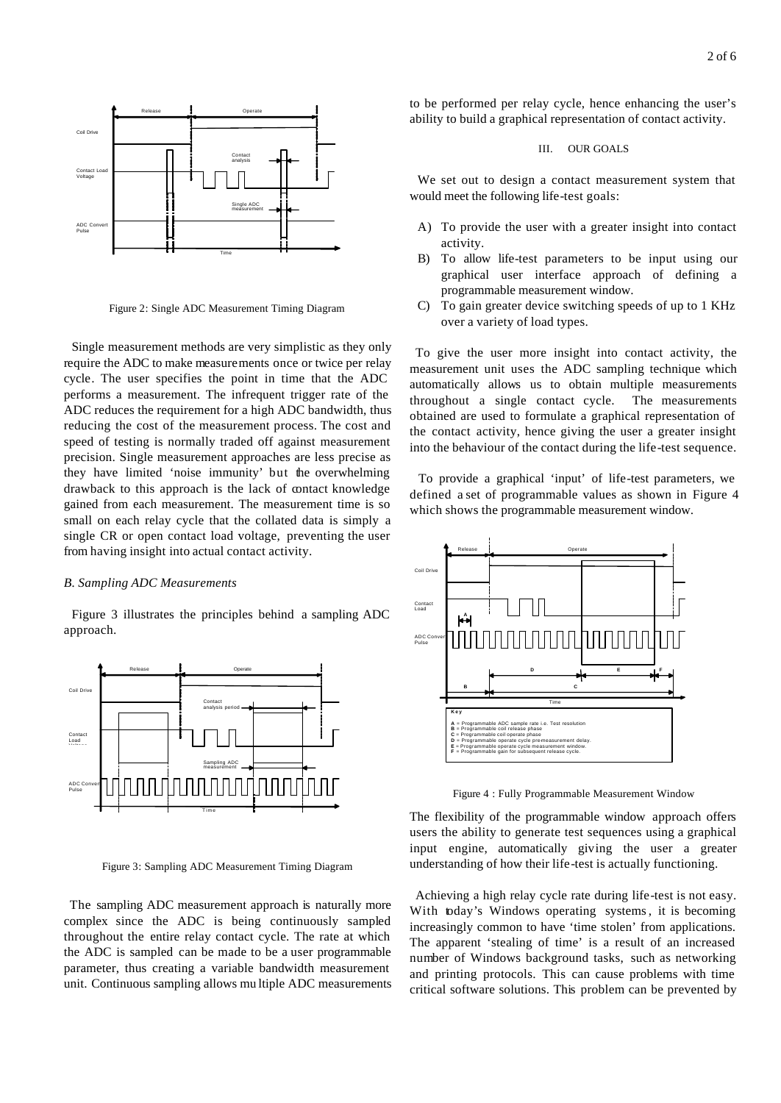

Figure 2: Single ADC Measurement Timing Diagram

Single measurement methods are very simplistic as they only require the ADC to make measurements once or twice per relay cycle. The user specifies the point in time that the ADC performs a measurement. The infrequent trigger rate of the ADC reduces the requirement for a high ADC bandwidth, thus reducing the cost of the measurement process. The cost and speed of testing is normally traded off against measurement precision. Single measurement approaches are less precise as they have limited 'noise immunity' but the overwhelming drawback to this approach is the lack of contact knowledge gained from each measurement. The measurement time is so small on each relay cycle that the collated data is simply a single CR or open contact load voltage, preventing the user from having insight into actual contact activity.

#### *B. Sampling ADC Measurements*

Figure 3 illustrates the principles behind a sampling ADC approach.



Figure 3: Sampling ADC Measurement Timing Diagram

The sampling ADC measurement approach is naturally more complex since the ADC is being continuously sampled throughout the entire relay contact cycle. The rate at which the ADC is sampled can be made to be a user programmable parameter, thus creating a variable bandwidth measurement unit. Continuous sampling allows mu ltiple ADC measurements to be performed per relay cycle, hence enhancing the user's ability to build a graphical representation of contact activity.

## III. OUR GOALS

We set out to design a contact measurement system that would meet the following life-test goals:

- A) To provide the user with a greater insight into contact activity.
- B) To allow life-test parameters to be input using our graphical user interface approach of defining a programmable measurement window.
- C) To gain greater device switching speeds of up to 1 KHz over a variety of load types.

To give the user more insight into contact activity, the measurement unit uses the ADC sampling technique which automatically allows us to obtain multiple measurements throughout a single contact cycle. The measurements obtained are used to formulate a graphical representation of the contact activity, hence giving the user a greater insight into the behaviour of the contact during the life-test sequence.

 To provide a graphical 'input' of life-test parameters, we defined a set of programmable values as shown in Figure 4 which shows the programmable measurement window.



Figure 4 : Fully Programmable Measurement Window

The flexibility of the programmable window approach offers users the ability to generate test sequences using a graphical input engine, automatically giving the user a greater understanding of how their life-test is actually functioning.

 Achieving a high relay cycle rate during life-test is not easy. With today's Windows operating systems, it is becoming increasingly common to have 'time stolen' from applications. The apparent 'stealing of time' is a result of an increased number of Windows background tasks, such as networking and printing protocols. This can cause problems with time critical software solutions. This problem can be prevented by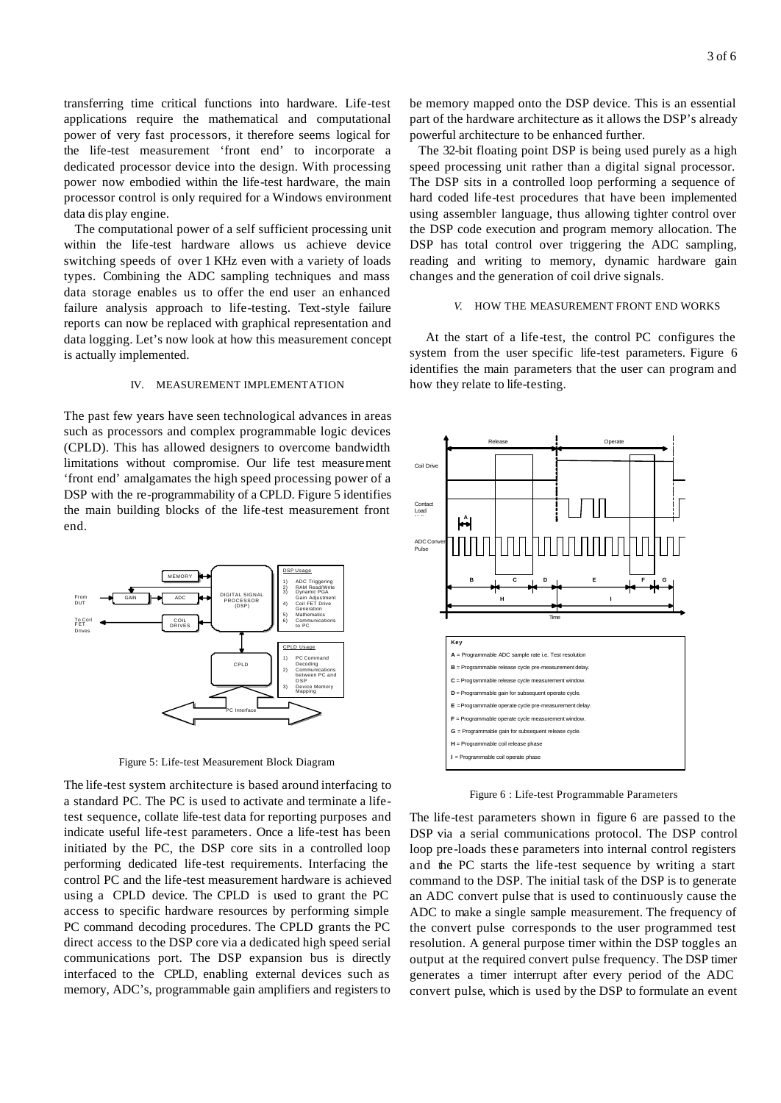transferring time critical functions into hardware. Life-test applications require the mathematical and computational power of very fast processors, it therefore seems logical for the life-test measurement 'front end' to incorporate a dedicated processor device into the design. With processing power now embodied within the life-test hardware, the main processor control is only required for a Windows environment data dis play engine.

The computational power of a self sufficient processing unit within the life-test hardware allows us achieve device switching speeds of over 1 KHz even with a variety of loads types. Combining the ADC sampling techniques and mass data storage enables us to offer the end user an enhanced failure analysis approach to life-testing. Text-style failure reports can now be replaced with graphical representation and data logging. Let's now look at how this measurement concept is actually implemented.

#### IV. MEASUREMENT IMPLEMENTATION

The past few years have seen technological advances in areas such as processors and complex programmable logic devices (CPLD). This has allowed designers to overcome bandwidth limitations without compromise. Our life test measurement 'front end' amalgamates the high speed processing power of a DSP with the re-programmability of a CPLD. Figure 5 identifies the main building blocks of the life-test measurement front end.



Figure 5: Life-test Measurement Block Diagram

The life-test system architecture is based around interfacing to a standard PC. The PC is used to activate and terminate a lifetest sequence, collate life-test data for reporting purposes and indicate useful life-test parameters. Once a life-test has been initiated by the PC, the DSP core sits in a controlled loop performing dedicated life-test requirements. Interfacing the control PC and the life-test measurement hardware is achieved using a CPLD device. The CPLD is used to grant the PC access to specific hardware resources by performing simple PC command decoding procedures. The CPLD grants the PC direct access to the DSP core via a dedicated high speed serial communications port. The DSP expansion bus is directly interfaced to the CPLD, enabling external devices such as memory, ADC's, programmable gain amplifiers and registers to

be memory mapped onto the DSP device. This is an essential part of the hardware architecture as it allows the DSP's already powerful architecture to be enhanced further.

 The 32-bit floating point DSP is being used purely as a high speed processing unit rather than a digital signal processor. The DSP sits in a controlled loop performing a sequence of hard coded life-test procedures that have been implemented using assembler language, thus allowing tighter control over the DSP code execution and program memory allocation. The DSP has total control over triggering the ADC sampling, reading and writing to memory, dynamic hardware gain changes and the generation of coil drive signals.

#### *V.* HOW THE MEASUREMENT FRONT END WORKS

 At the start of a life-test, the control PC configures the system from the user specific life-test parameters. Figure 6 identifies the main parameters that the user can program and how they relate to life-testing.



Figure 6 : Life-test Programmable Parameters

The life-test parameters shown in figure 6 are passed to the DSP via a serial communications protocol. The DSP control loop pre-loads these parameters into internal control registers and the PC starts the life-test sequence by writing a start command to the DSP. The initial task of the DSP is to generate an ADC convert pulse that is used to continuously cause the ADC to make a single sample measurement. The frequency of the convert pulse corresponds to the user programmed test resolution. A general purpose timer within the DSP toggles an output at the required convert pulse frequency. The DSP timer generates a timer interrupt after every period of the ADC convert pulse, which is used by the DSP to formulate an event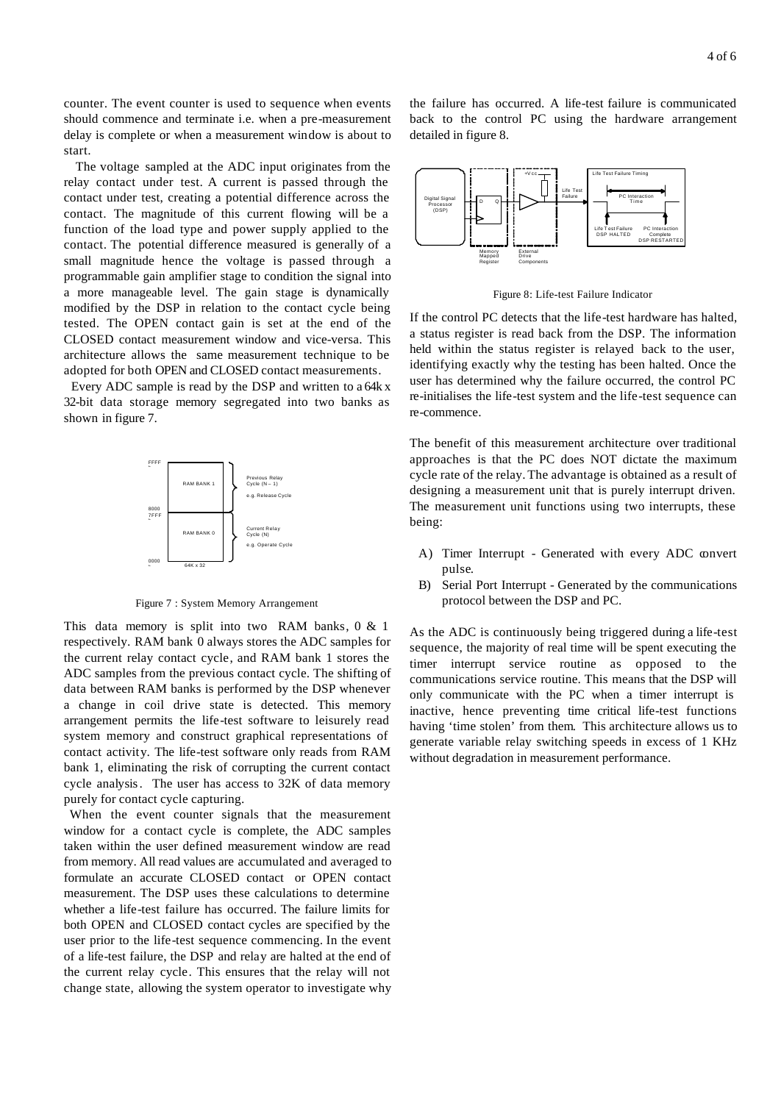counter. The event counter is used to sequence when events should commence and terminate i.e. when a pre-measurement delay is complete or when a measurement window is about to start.

 The voltage sampled at the ADC input originates from the relay contact under test. A current is passed through the contact under test, creating a potential difference across the contact. The magnitude of this current flowing will be a function of the load type and power supply applied to the contact. The potential difference measured is generally of a small magnitude hence the voltage is passed through a programmable gain amplifier stage to condition the signal into a more manageable level. The gain stage is dynamically modified by the DSP in relation to the contact cycle being tested. The OPEN contact gain is set at the end of the CLOSED contact measurement window and vice-versa. This architecture allows the same measurement technique to be adopted for both OPEN and CLOSED contact measurements.

 Every ADC sample is read by the DSP and written to a 64k x 32-bit data storage memory segregated into two banks as shown in figure 7.



Figure 7 : System Memory Arrangement

This data memory is split into two RAM banks, 0 & 1 respectively. RAM bank 0 always stores the ADC samples for the current relay contact cycle, and RAM bank 1 stores the ADC samples from the previous contact cycle. The shifting of data between RAM banks is performed by the DSP whenever a change in coil drive state is detected. This memory arrangement permits the life-test software to leisurely read system memory and construct graphical representations of contact activity. The life-test software only reads from RAM bank 1, eliminating the risk of corrupting the current contact cycle analysis. The user has access to 32K of data memory purely for contact cycle capturing.

 When the event counter signals that the measurement window for a contact cycle is complete, the ADC samples taken within the user defined measurement window are read from memory. All read values are accumulated and averaged to formulate an accurate CLOSED contact or OPEN contact measurement. The DSP uses these calculations to determine whether a life-test failure has occurred. The failure limits for both OPEN and CLOSED contact cycles are specified by the user prior to the life-test sequence commencing. In the event of a life-test failure, the DSP and relay are halted at the end of the current relay cycle. This ensures that the relay will not change state, allowing the system operator to investigate why the failure has occurred. A life-test failure is communicated back to the control PC using the hardware arrangement detailed in figure 8.



Figure 8: Life-test Failure Indicator

If the control PC detects that the life-test hardware has halted, a status register is read back from the DSP. The information held within the status register is relayed back to the user, identifying exactly why the testing has been halted. Once the user has determined why the failure occurred, the control PC re-initialises the life-test system and the life-test sequence can re-commence.

The benefit of this measurement architecture over traditional approaches is that the PC does NOT dictate the maximum cycle rate of the relay. The advantage is obtained as a result of designing a measurement unit that is purely interrupt driven. The measurement unit functions using two interrupts, these being:

- A) Timer Interrupt Generated with every ADC convert pulse.
- B) Serial Port Interrupt Generated by the communications protocol between the DSP and PC.

As the ADC is continuously being triggered during a life-test sequence, the majority of real time will be spent executing the timer interrupt service routine as opposed to the communications service routine. This means that the DSP will only communicate with the PC when a timer interrupt is inactive, hence preventing time critical life-test functions having 'time stolen' from them. This architecture allows us to generate variable relay switching speeds in excess of 1 KHz without degradation in measurement performance.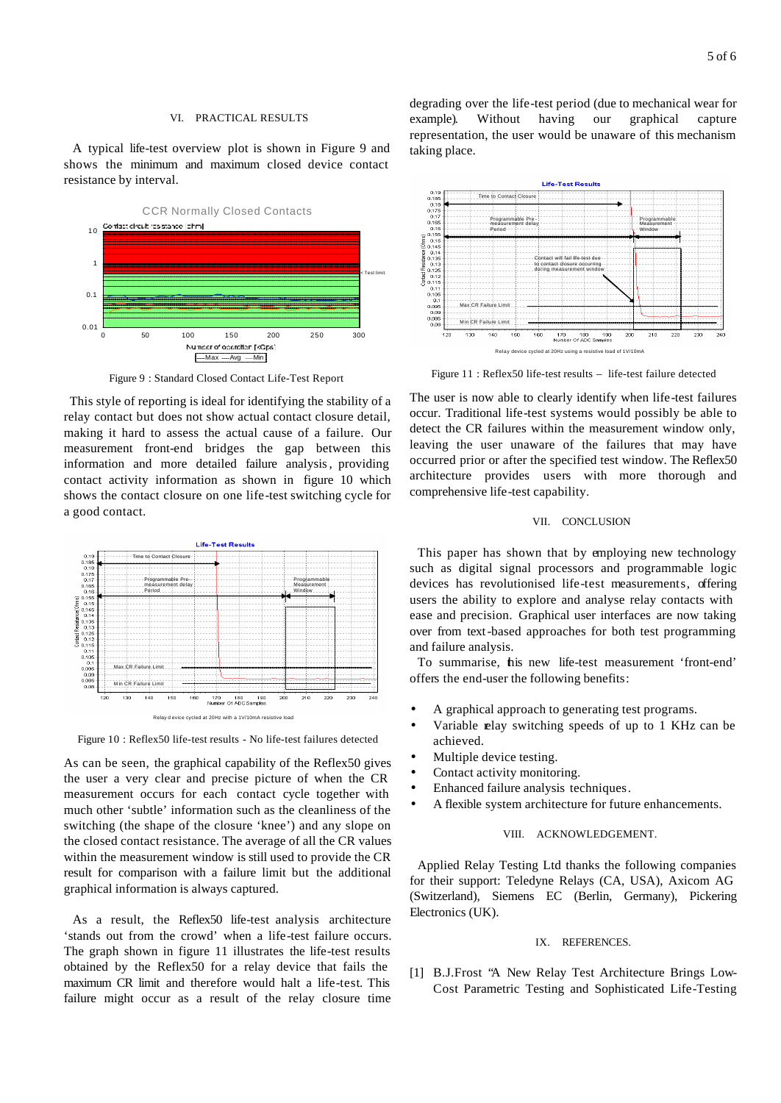A typical life-test overview plot is shown in Figure 9 and shows the minimum and maximum closed device contact resistance by interval.



Figure 9 : Standard Closed Contact Life-Test Report

 This style of reporting is ideal for identifying the stability of a relay contact but does not show actual contact closure detail, making it hard to assess the actual cause of a failure. Our measurement front-end bridges the gap between this information and more detailed failure analysis, providing contact activity information as shown in figure 10 which shows the contact closure on one life-test switching cycle for a good contact.



Figure 10 : Reflex50 life-test results - No life-test failures detected

As can be seen, the graphical capability of the Reflex50 gives the user a very clear and precise picture of when the CR measurement occurs for each contact cycle together with much other 'subtle' information such as the cleanliness of the switching (the shape of the closure 'knee') and any slope on the closed contact resistance. The average of all the CR values within the measurement window is still used to provide the CR result for comparison with a failure limit but the additional graphical information is always captured.

 As a result, the Reflex50 life-test analysis architecture 'stands out from the crowd' when a life-test failure occurs. The graph shown in figure 11 illustrates the life-test results obtained by the Reflex50 for a relay device that fails the maximum CR limit and therefore would halt a life-test. This failure might occur as a result of the relay closure time degrading over the life-test period (due to mechanical wear for example). Without having our graphical capture representation, the user would be unaware of this mechanism taking place.



Figure 11 : Reflex50 life-test results – life-test failure detected

The user is now able to clearly identify when life-test failures occur. Traditional life-test systems would possibly be able to detect the CR failures within the measurement window only, leaving the user unaware of the failures that may have occurred prior or after the specified test window. The Reflex50 architecture provides users with more thorough and comprehensive life-test capability.

## VII. CONCLUSION

This paper has shown that by employing new technology such as digital signal processors and programmable logic devices has revolutionised life-test measurements, offering users the ability to explore and analyse relay contacts with ease and precision. Graphical user interfaces are now taking over from text-based approaches for both test programming and failure analysis.

To summarise, this new life-test measurement 'front-end' offers the end-user the following benefits:

- A graphical approach to generating test programs.
- Variable relay switching speeds of up to 1 KHz can be achieved.
- Multiple device testing.
- Contact activity monitoring.
- Enhanced failure analysis techniques.
- A flexible system architecture for future enhancements.

#### VIII. ACKNOWLEDGEMENT.

Applied Relay Testing Ltd thanks the following companies for their support: Teledyne Relays (CA, USA), Axicom AG (Switzerland), Siemens EC (Berlin, Germany), Pickering Electronics (UK).

## IX. REFERENCES.

[1] B.J.Frost "A New Relay Test Architecture Brings Low-Cost Parametric Testing and Sophisticated Life-Testing